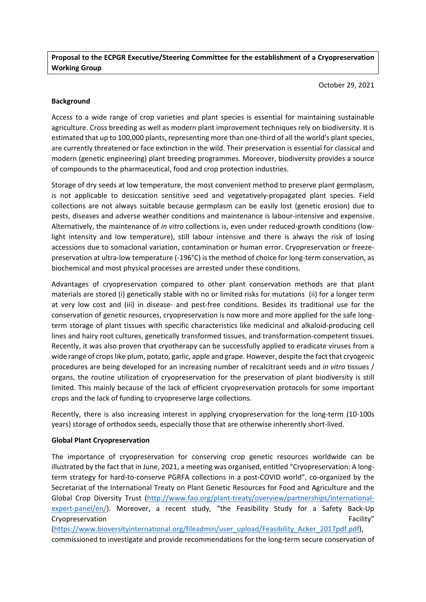**Proposal to the ECPGR Executive/Steering Committee for the establishment of a Cryopreservation Working Group**

October 29, 2021

### **Background**

Access to a wide range of crop varieties and plant species is essential for maintaining sustainable agriculture. Cross breeding as well as modern plant improvement techniques rely on biodiversity. It is estimated that up to 100,000 plants, representing more than one-third of all the world's plant species, are currently threatened or face extinction in the wild. Their preservation is essential for classical and modern (genetic engineering) plant breeding programmes. Moreover, biodiversity provides a source of compounds to the pharmaceutical, food and crop protection industries.

Storage of dry seeds at low temperature, the most convenient method to preserve plant germplasm, is not applicable to desiccation sensitive seed and vegetatively-propagated plant species. Field collections are not always suitable because germplasm can be easily lost (genetic erosion) due to pests, diseases and adverse weather conditions and maintenance is labour-intensive and expensive. Alternatively, the maintenance of *in vitro* collections is, even under reduced-growth conditions (lowlight intensity and low temperature), still labour intensive and there is always the risk of losing accessions due to somaclonal variation, contamination or human error. Cryopreservation or freezepreservation at ultra-low temperature (-196°C) is the method of choice for long-term conservation, as biochemical and most physical processes are arrested under these conditions.

Advantages of cryopreservation compared to other plant conservation methods are that plant materials are stored (i) genetically stable with no or limited risks for mutations (ii) for a longer term at very low cost and (iii) in disease- and pest-free conditions. Besides its traditional use for the conservation of genetic resources, cryopreservation is now more and more applied for the safe longterm storage of plant tissues with specific characteristics like medicinal and alkaloid-producing cell lines and hairy root cultures, genetically transformed tissues, and transformation-competent tissues. Recently, it was also proven that cryotherapy can be successfully applied to eradicate viruses from a wide range of crops like plum, potato, garlic, apple and grape. However, despite the fact that cryogenic procedures are being developed for an increasing number of recalcitrant seeds and *in vitro* tissues / organs, the routine utilization of cryopreservation for the preservation of plant biodiversity is still limited. This mainly because of the lack of efficient cryopreservation protocols for some important crops and the lack of funding to cryopreserve large collections.

Recently, there is also increasing interest in applying cryopreservation for the long-term (10-100s years) storage of orthodox seeds, especially those that are otherwise inherently short-lived.

#### **Global Plant Cryopreservation**

The importance of cryopreservation for conserving crop genetic resources worldwide can be illustrated by the fact that in June, 2021, a meeting was organised, entitled "Cryopreservation: A longterm strategy for hard-to-conserve PGRFA collections in a post-COVID world", co-organized by the Secretariat of the International Treaty on Plant Genetic Resources for Food and Agriculture and the Global Crop Diversity Trust [\(http://www.fao.org/plant-treaty/overview/partnerships/international](http://www.fao.org/plant-treaty/overview/partnerships/international-expert-panel/en/)[expert-panel/en/\)](http://www.fao.org/plant-treaty/overview/partnerships/international-expert-panel/en/). Moreover, a recent study, "the Feasibility Study for a Safety Back-Up Cryopreservation Facility"

[\(https://www.bioversityinternational.org/fileadmin/user\\_upload/Feasibility\\_Acker\\_2017pdf.pdf\)](https://www.bioversityinternational.org/fileadmin/user_upload/Feasibility_Acker_2017pdf.pdf), commissioned to investigate and provide recommendations for the long-term secure conservation of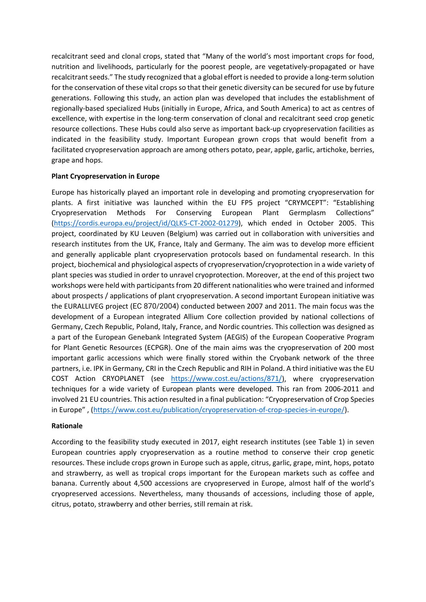recalcitrant seed and clonal crops, stated that "Many of the world's most important crops for food, nutrition and livelihoods, particularly for the poorest people, are vegetatively-propagated or have recalcitrant seeds." The study recognized that a global effort is needed to provide a long-term solution for the conservation of these vital crops so that their genetic diversity can be secured for use by future generations. Following this study, an action plan was developed that includes the establishment of regionally-based specialized Hubs (initially in Europe, Africa, and South America) to act as centres of excellence, with expertise in the long-term conservation of clonal and recalcitrant seed crop genetic resource collections. These Hubs could also serve as important back-up cryopreservation facilities as indicated in the feasibility study. Important European grown crops that would benefit from a facilitated cryopreservation approach are among others potato, pear, apple, garlic, artichoke, berries, grape and hops.

## **Plant Cryopreservation in Europe**

Europe has historically played an important role in developing and promoting cryopreservation for plants. A first initiative was launched within the EU FP5 project "CRYMCEPT": "Establishing Cryopreservation Methods For Conserving European Plant Germplasm Collections" [\(https://cordis.europa.eu/project/id/QLK5-CT-2002-01279\)](https://cordis.europa.eu/project/id/QLK5-CT-2002-01279), which ended in October 2005. This project, coordinated by KU Leuven (Belgium) was carried out in collaboration with universities and research institutes from the UK, France, Italy and Germany. The aim was to develop more efficient and generally applicable plant cryopreservation protocols based on fundamental research. In this project, biochemical and physiological aspects of cryopreservation/cryoprotection in a wide variety of plant species was studied in order to unravel cryoprotection. Moreover, at the end of this project two workshops were held with participants from 20 different nationalities who were trained and informed about prospects / applications of plant cryopreservation. A second important European initiative was the EURALLIVEG project (EC 870/2004) conducted between 2007 and 2011. The main focus was the development of a European integrated Allium Core collection provided by national collections of Germany, Czech Republic, Poland, Italy, France, and Nordic countries. This collection was designed as a part of the European Genebank Integrated System (AEGIS) of the European Cooperative Program for Plant Genetic Resources (ECPGR). One of the main aims was the cryopreservation of 200 most important garlic accessions which were finally stored within the Cryobank network of the three partners, i.e. IPK in Germany, CRI in the Czech Republic and RIH in Poland. A third initiative was the EU COST Action CRYOPLANET (see [https://www.cost.eu/actions/871/\)](https://www.cost.eu/actions/871/), where cryopreservation techniques for a wide variety of European plants were developed. This ran from 2006-2011 and involved 21 EU countries. This action resulted in a final publication: "Cryopreservation of Crop Species in Europe" , [\(https://www.cost.eu/publication/cryopreservation-of-crop-species-in-europe/\)](https://www.cost.eu/publication/cryopreservation-of-crop-species-in-europe/).

### **Rationale**

According to the feasibility study executed in 2017, eight research institutes (see Table 1) in seven European countries apply cryopreservation as a routine method to conserve their crop genetic resources. These include crops grown in Europe such as apple, citrus, garlic, grape, mint, hops, potato and strawberry, as well as tropical crops important for the European markets such as coffee and banana. Currently about 4,500 accessions are cryopreserved in Europe, almost half of the world's cryopreserved accessions. Nevertheless, many thousands of accessions, including those of apple, citrus, potato, strawberry and other berries, still remain at risk.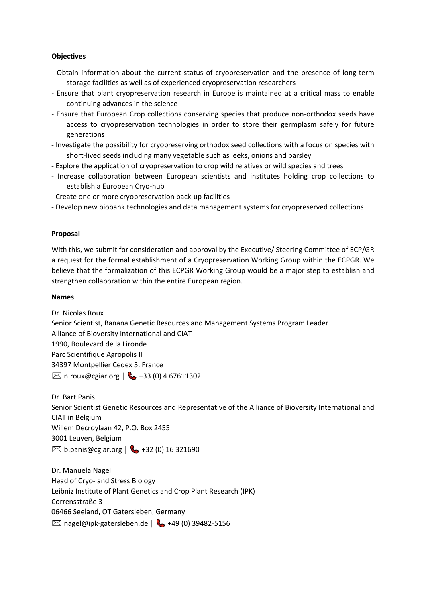## **Objectives**

- Obtain information about the current status of cryopreservation and the presence of long-term storage facilities as well as of experienced cryopreservation researchers
- Ensure that plant cryopreservation research in Europe is maintained at a critical mass to enable continuing advances in the science
- Ensure that European Crop collections conserving species that produce non-orthodox seeds have access to cryopreservation technologies in order to store their germplasm safely for future generations
- Investigate the possibility for cryopreserving orthodox seed collections with a focus on species with short-lived seeds including many vegetable such as leeks, onions and parsley
- Explore the application of cryopreservation to crop wild relatives or wild species and trees
- Increase collaboration between European scientists and institutes holding crop collections to establish a European Cryo-hub
- Create one or more cryopreservation back-up facilities
- Develop new biobank technologies and data management systems for cryopreserved collections

### **Proposal**

With this, we submit for consideration and approval by the Executive/ Steering Committee of ECP/GR a request for the formal establishment of a Cryopreservation Working Group within the ECPGR. We believe that the formalization of this ECPGR Working Group would be a major step to establish and strengthen collaboration within the entire European region.

### **Names**

Dr. Nicolas Roux Senior Scientist, Banana Genetic Resources and Management Systems Program Leader Alliance of Bioversity International and CIAT 1990, Boulevard de la Lironde Parc Scientifique Agropolis II 34397 Montpellier Cedex 5, France  $\boxtimes$  n.roux@cgiar.org |  $\clubsuit$  +33 (0) 4 67611302

Dr. Bart Panis Senior Scientist Genetic Resources and Representative of the Alliance of Bioversity International and CIAT in Belgium Willem Decroylaan 42, P.O. Box 2455 3001 Leuven, Belgium  $\boxtimes$  b.panis@cgiar.org |  $\bigcup$  +32 (0) 16 321690

Dr. Manuela Nagel Head of Cryo- and Stress Biology Leibniz Institute of Plant Genetics and Crop Plant Research (IPK) Corrensstraße 3 06466 Seeland, OT Gatersleben, Germany  $\boxtimes$  nagel@ipk-gatersleben.de |  $\&$  +49 (0) 39482-5156